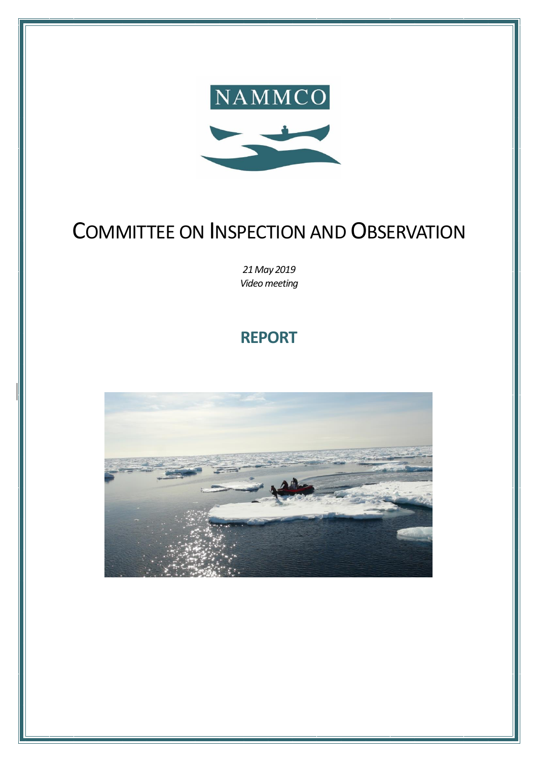

# COMMITTEE ON INSPECTION AND OBSERVATION

*21 May 2019 Video meeting*

## **REPORT**

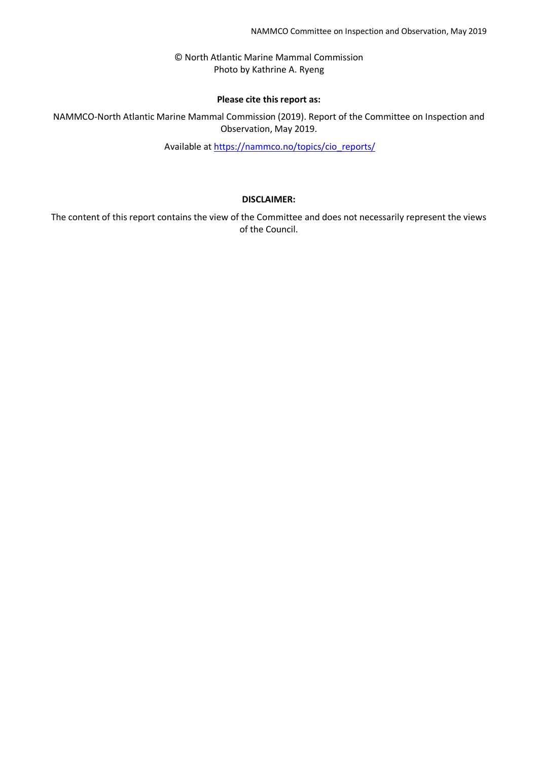© North Atlantic Marine Mammal Commission Photo by Kathrine A. Ryeng

#### **Please cite this report as:**

NAMMCO-North Atlantic Marine Mammal Commission (2019). Report of the Committee on Inspection and Observation, May 2019.

Available at [https://nammco.no/topics/cio\\_reports/](https://nammco.no/topics/cio_reports/)

#### **DISCLAIMER:**

The content of this report contains the view of the Committee and does not necessarily represent the views of the Council.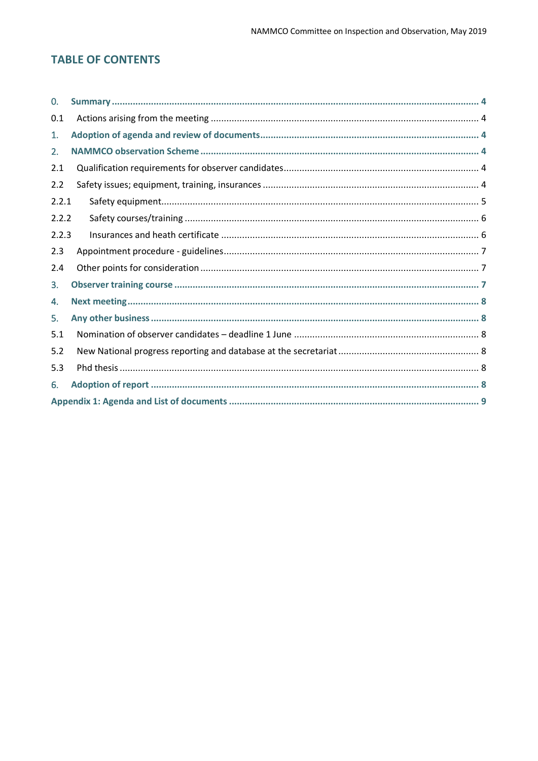## **TABLE OF CONTENTS**

| $\Omega$ . |  |  |  |
|------------|--|--|--|
| 0.1        |  |  |  |
| 1.         |  |  |  |
| 2.         |  |  |  |
| 2.1        |  |  |  |
| 2.2        |  |  |  |
| 2.2.1      |  |  |  |
| 2.2.2      |  |  |  |
| 2.2.3      |  |  |  |
| 2.3        |  |  |  |
| 2.4        |  |  |  |
| 3.         |  |  |  |
| 4.         |  |  |  |
| 5.         |  |  |  |
| 5.1        |  |  |  |
| 5.2        |  |  |  |
| 5.3        |  |  |  |
| 6.         |  |  |  |
|            |  |  |  |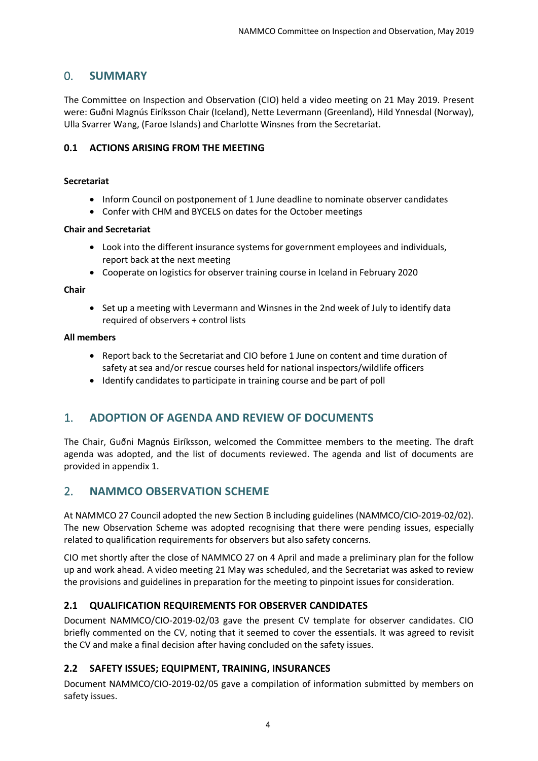## <span id="page-3-0"></span>0. **SUMMARY**

The Committee on Inspection and Observation (CIO) held a video meeting on 21 May 2019. Present were: Guðni Magnús Eiríksson Chair (Iceland), Nette Levermann (Greenland), Hild Ynnesdal (Norway), Ulla Svarrer Wang, (Faroe Islands) and Charlotte Winsnes from the Secretariat.

## <span id="page-3-1"></span>**0.1 ACTIONS ARISING FROM THE MEETING**

#### **Secretariat**

- Inform Council on postponement of 1 June deadline to nominate observer candidates
- Confer with CHM and BYCELS on dates for the October meetings

#### **Chair and Secretariat**

- Look into the different insurance systems for government employees and individuals, report back at the next meeting
- Cooperate on logistics for observer training course in Iceland in February 2020

#### **Chair**

• Set up a meeting with Levermann and Winsnes in the 2nd week of July to identify data required of observers + control lists

#### **All members**

- Report back to the Secretariat and CIO before 1 June on content and time duration of safety at sea and/or rescue courses held for national inspectors/wildlife officers
- Identify candidates to participate in training course and be part of poll

## <span id="page-3-2"></span>1. **ADOPTION OF AGENDA AND REVIEW OF DOCUMENTS**

The Chair, Guðni Magnús Eiríksson, welcomed the Committee members to the meeting. The draft agenda was adopted, and the list of documents reviewed. The agenda and list of documents are provided in appendix 1.

## <span id="page-3-3"></span>2. **NAMMCO OBSERVATION SCHEME**

At NAMMCO 27 Council adopted the new Section B including guidelines (NAMMCO/CIO-2019-02/02). The new Observation Scheme was adopted recognising that there were pending issues, especially related to qualification requirements for observers but also safety concerns.

CIO met shortly after the close of NAMMCO 27 on 4 April and made a preliminary plan for the follow up and work ahead. A video meeting 21 May was scheduled, and the Secretariat was asked to review the provisions and guidelines in preparation for the meeting to pinpoint issues for consideration.

## <span id="page-3-4"></span>**2.1 QUALIFICATION REQUIREMENTS FOR OBSERVER CANDIDATES**

Document NAMMCO/CIO-2019-02/03 gave the present CV template for observer candidates. CIO briefly commented on the CV, noting that it seemed to cover the essentials. It was agreed to revisit the CV and make a final decision after having concluded on the safety issues.

## <span id="page-3-5"></span>**2.2 SAFETY ISSUES; EQUIPMENT, TRAINING, INSURANCES**

Document NAMMCO/CIO-2019-02/05 gave a compilation of information submitted by members on safety issues.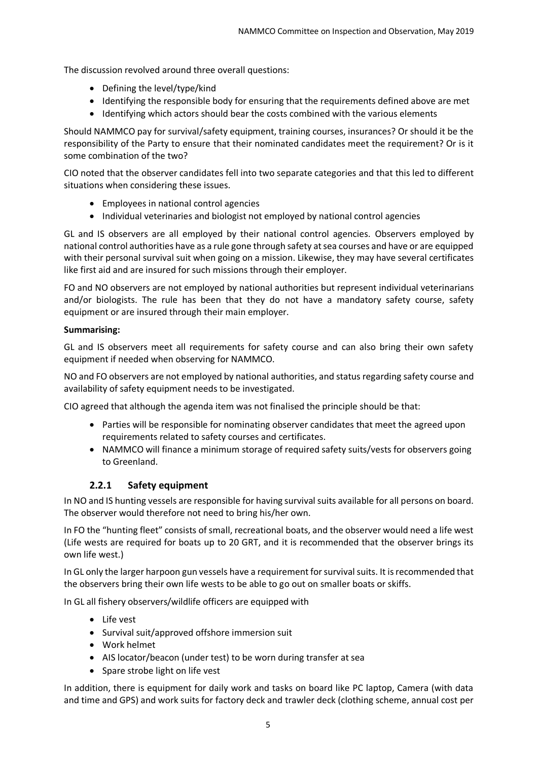The discussion revolved around three overall questions:

- Defining the level/type/kind
- Identifying the responsible body for ensuring that the requirements defined above are met
- Identifying which actors should bear the costs combined with the various elements

Should NAMMCO pay for survival/safety equipment, training courses, insurances? Or should it be the responsibility of the Party to ensure that their nominated candidates meet the requirement? Or is it some combination of the two?

CIO noted that the observer candidates fell into two separate categories and that this led to different situations when considering these issues.

- Employees in national control agencies
- Individual veterinaries and biologist not employed by national control agencies

GL and IS observers are all employed by their national control agencies. Observers employed by national control authorities have as a rule gone through safety at sea courses and have or are equipped with their personal survival suit when going on a mission. Likewise, they may have several certificates like first aid and are insured for such missions through their employer.

FO and NO observers are not employed by national authorities but represent individual veterinarians and/or biologists. The rule has been that they do not have a mandatory safety course, safety equipment or are insured through their main employer.

#### **Summarising:**

GL and IS observers meet all requirements for safety course and can also bring their own safety equipment if needed when observing for NAMMCO.

NO and FO observers are not employed by national authorities, and status regarding safety course and availability of safety equipment needs to be investigated.

CIO agreed that although the agenda item was not finalised the principle should be that:

- Parties will be responsible for nominating observer candidates that meet the agreed upon requirements related to safety courses and certificates.
- NAMMCO will finance a minimum storage of required safety suits/vests for observers going to Greenland.

## **2.2.1 Safety equipment**

<span id="page-4-0"></span>In NO and IS hunting vessels are responsible for having survival suits available for all persons on board. The observer would therefore not need to bring his/her own.

In FO the "hunting fleet" consists of small, recreational boats, and the observer would need a life west (Life wests are required for boats up to 20 GRT, and it is recommended that the observer brings its own life west.)

In GL only the larger harpoon gun vessels have a requirement for survival suits. It is recommended that the observers bring their own life wests to be able to go out on smaller boats or skiffs.

In GL all fishery observers/wildlife officers are equipped with

- Life vest
- Survival suit/approved offshore immersion suit
- Work helmet
- AIS locator/beacon (under test) to be worn during transfer at sea
- Spare strobe light on life vest

In addition, there is equipment for daily work and tasks on board like PC laptop, Camera (with data and time and GPS) and work suits for factory deck and trawler deck (clothing scheme, annual cost per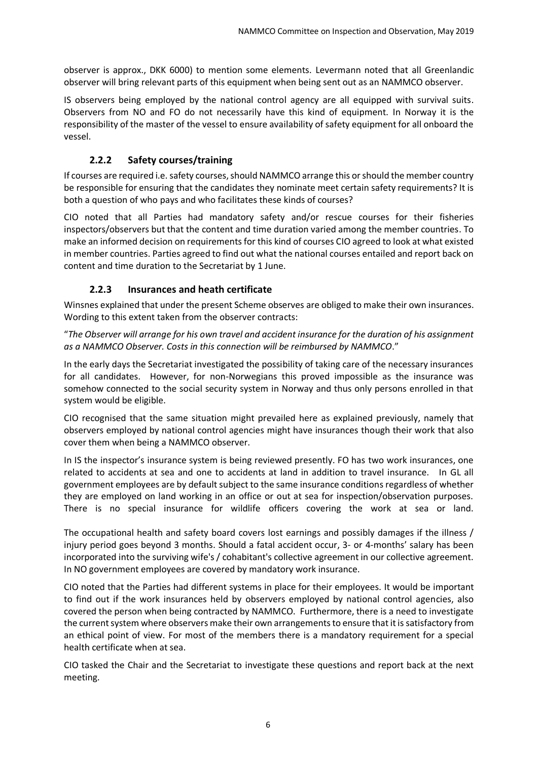observer is approx., DKK 6000) to mention some elements. Levermann noted that all Greenlandic observer will bring relevant parts of this equipment when being sent out as an NAMMCO observer.

IS observers being employed by the national control agency are all equipped with survival suits. Observers from NO and FO do not necessarily have this kind of equipment. In Norway it is the responsibility of the master of the vessel to ensure availability of safety equipment for all onboard the vessel.

## **2.2.2 Safety courses/training**

<span id="page-5-0"></span>If courses are required i.e. safety courses, should NAMMCO arrange this or should the member country be responsible for ensuring that the candidates they nominate meet certain safety requirements? It is both a question of who pays and who facilitates these kinds of courses?

CIO noted that all Parties had mandatory safety and/or rescue courses for their fisheries inspectors/observers but that the content and time duration varied among the member countries. To make an informed decision on requirements for this kind of courses CIO agreed to look at what existed in member countries. Parties agreed to find out what the national courses entailed and report back on content and time duration to the Secretariat by 1 June.

## **2.2.3 Insurances and heath certificate**

<span id="page-5-1"></span>Winsnes explained that under the present Scheme observes are obliged to make their own insurances. Wording to this extent taken from the observer contracts:

"*The Observer will arrange for his own travel and accident insurance for the duration of his assignment as a NAMMCO Observer. Costs in this connection will be reimbursed by NAMMCO*."

In the early days the Secretariat investigated the possibility of taking care of the necessary insurances for all candidates. However, for non-Norwegians this proved impossible as the insurance was somehow connected to the social security system in Norway and thus only persons enrolled in that system would be eligible.

CIO recognised that the same situation might prevailed here as explained previously, namely that observers employed by national control agencies might have insurances though their work that also cover them when being a NAMMCO observer.

In IS the inspector's insurance system is being reviewed presently. FO has two work insurances, one related to accidents at sea and one to accidents at land in addition to travel insurance. In GL all government employees are by default subject to the same insurance conditions regardless of whether they are employed on land working in an office or out at sea for inspection/observation purposes. There is no special insurance for wildlife officers covering the work at sea or land.

The occupational health and safety board covers lost earnings and possibly damages if the illness / injury period goes beyond 3 months. Should a fatal accident occur, 3- or 4-months' salary has been incorporated into the surviving wife's / cohabitant's collective agreement in our collective agreement. In NO government employees are covered by mandatory work insurance.

CIO noted that the Parties had different systems in place for their employees. It would be important to find out if the work insurances held by observers employed by national control agencies, also covered the person when being contracted by NAMMCO. Furthermore, there is a need to investigate the current system where observers make their own arrangements to ensure that it is satisfactory from an ethical point of view. For most of the members there is a mandatory requirement for a special health certificate when at sea.

CIO tasked the Chair and the Secretariat to investigate these questions and report back at the next meeting.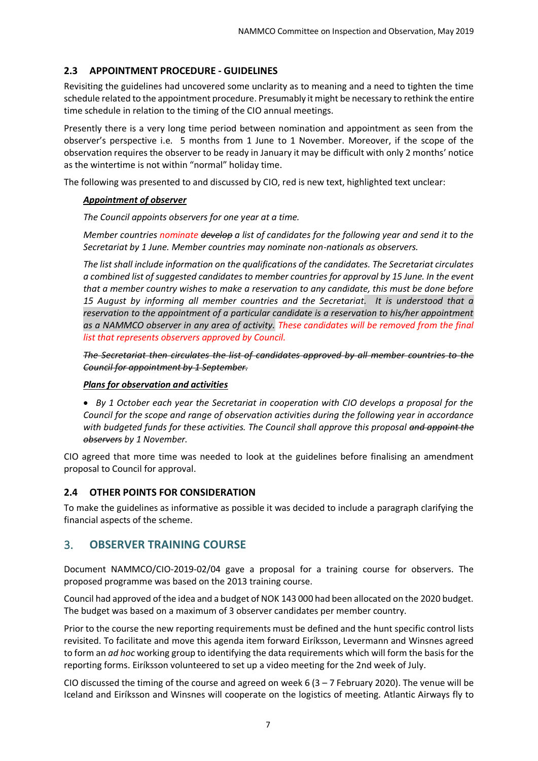## <span id="page-6-0"></span>**2.3 APPOINTMENT PROCEDURE - GUIDELINES**

Revisiting the guidelines had uncovered some unclarity as to meaning and a need to tighten the time schedule related to the appointment procedure. Presumably it might be necessary to rethink the entire time schedule in relation to the timing of the CIO annual meetings.

Presently there is a very long time period between nomination and appointment as seen from the observer's perspective i.e. 5 months from 1 June to 1 November. Moreover, if the scope of the observation requires the observer to be ready in January it may be difficult with only 2 months' notice as the wintertime is not within "normal" holiday time.

The following was presented to and discussed by CIO, red is new text, highlighted text unclear:

#### *Appointment of observer*

*The Council appoints observers for one year at a time.* 

*Member countries nominate develop a list of candidates for the following year and send it to the Secretariat by 1 June. Member countries may nominate non-nationals as observers.* 

*The list shall include information on the qualifications of the candidates. The Secretariat circulates a combined list of suggested candidates to member countries for approval by 15 June. In the event that a member country wishes to make a reservation to any candidate, this must be done before 15 August by informing all member countries and the Secretariat. It is understood that a reservation to the appointment of a particular candidate is a reservation to his/her appointment as a NAMMCO observer in any area of activity. These candidates will be removed from the final list that represents observers approved by Council.* 

*The Secretariat then circulates the list of candidates approved by all member countries to the Council for appointment by 1 September.*

#### *Plans for observation and activities*

• *By 1 October each year the Secretariat in cooperation with CIO develops a proposal for the Council for the scope and range of observation activities during the following year in accordance with budgeted funds for these activities. The Council shall approve this proposal and appoint the observers by 1 November.* 

CIO agreed that more time was needed to look at the guidelines before finalising an amendment proposal to Council for approval.

## <span id="page-6-1"></span>**2.4 OTHER POINTS FOR CONSIDERATION**

To make the guidelines as informative as possible it was decided to include a paragraph clarifying the financial aspects of the scheme.

## <span id="page-6-2"></span>3. **OBSERVER TRAINING COURSE**

Document NAMMCO/CIO-2019-02/04 gave a proposal for a training course for observers. The proposed programme was based on the 2013 training course.

Council had approved of the idea and a budget of NOK 143 000 had been allocated on the 2020 budget. The budget was based on a maximum of 3 observer candidates per member country.

Prior to the course the new reporting requirements must be defined and the hunt specific control lists revisited. To facilitate and move this agenda item forward Eiríksson, Levermann and Winsnes agreed to form an *ad hoc* working group to identifying the data requirements which will form the basis for the reporting forms. Eiríksson volunteered to set up a video meeting for the 2nd week of July.

CIO discussed the timing of the course and agreed on week 6  $(3 - 7$  February 2020). The venue will be Iceland and Eiríksson and Winsnes will cooperate on the logistics of meeting. Atlantic Airways fly to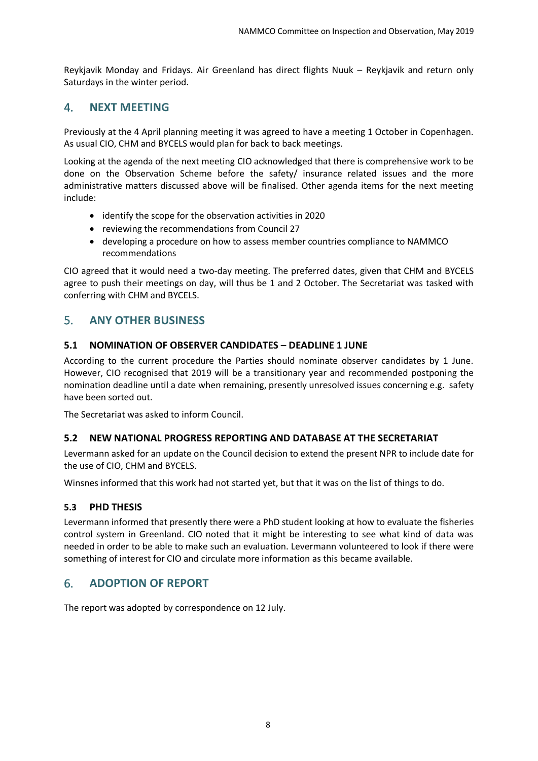Reykjavik Monday and Fridays. Air Greenland has direct flights Nuuk – Reykjavik and return only Saturdays in the winter period.

## <span id="page-7-0"></span>4. **NEXT MEETING**

Previously at the 4 April planning meeting it was agreed to have a meeting 1 October in Copenhagen. As usual CIO, CHM and BYCELS would plan for back to back meetings.

Looking at the agenda of the next meeting CIO acknowledged that there is comprehensive work to be done on the Observation Scheme before the safety/ insurance related issues and the more administrative matters discussed above will be finalised. Other agenda items for the next meeting include:

- identify the scope for the observation activities in 2020
- reviewing the recommendations from Council 27
- developing a procedure on how to assess member countries compliance to NAMMCO recommendations

CIO agreed that it would need a two-day meeting. The preferred dates, given that CHM and BYCELS agree to push their meetings on day, will thus be 1 and 2 October. The Secretariat was tasked with conferring with CHM and BYCELS.

## <span id="page-7-1"></span>5. **ANY OTHER BUSINESS**

## <span id="page-7-2"></span>**5.1 NOMINATION OF OBSERVER CANDIDATES – DEADLINE 1 JUNE**

According to the current procedure the Parties should nominate observer candidates by 1 June. However, CIO recognised that 2019 will be a transitionary year and recommended postponing the nomination deadline until a date when remaining, presently unresolved issues concerning e.g. safety have been sorted out.

The Secretariat was asked to inform Council.

#### <span id="page-7-3"></span>**5.2 NEW NATIONAL PROGRESS REPORTING AND DATABASE AT THE SECRETARIAT**

Levermann asked for an update on the Council decision to extend the present NPR to include date for the use of CIO, CHM and BYCELS.

Winsnes informed that this work had not started yet, but that it was on the list of things to do.

#### <span id="page-7-4"></span>**5.3 PHD THESIS**

Levermann informed that presently there were a PhD student looking at how to evaluate the fisheries control system in Greenland. CIO noted that it might be interesting to see what kind of data was needed in order to be able to make such an evaluation. Levermann volunteered to look if there were something of interest for CIO and circulate more information as this became available.

## <span id="page-7-5"></span>6. **ADOPTION OF REPORT**

The report was adopted by correspondence on 12 July.